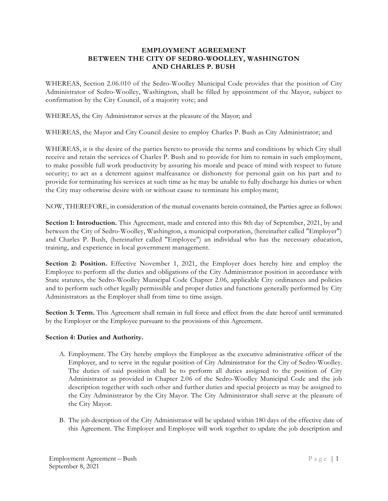### **EMPLOYMENT AGREEMENT BETWEEN THE CITY OF SEDRO-WOOLLEY, WASHINGTON AND CHARLES P. BUSH**

WHEREAS, Section 2.06.010 of the Sedro-Woolley Municipal Code provides that the position of City Administrator of Sedro-Woolley, Washington, shall be filled by appointment of the Mayor, subject to confirmation by the City Council, of a majority vote; and

WHEREAS, the City Administrator serves at the pleasure of the Mayor; and

WHEREAS, the Mayor and City Council desire to employ Charles P. Bush as City Administrator; and

WHEREAS, it is the desire of the parties hereto to provide the terms and conditions by which City shall receive and retain the services of Charles P. Bush and to provide for him to remain in such employment, to make possible full work productivity by assuring his morale and peace of mind with respect to future security; to act as a deterrent against malfeasance or dishonesty for personal gain on his part and to provide for terminating his services at such time as he may be unable to fully discharge his duties or when the City may otherwise desire with or without cause to terminate his employment;

NOW, THEREFORE, in consideration of the mutual covenants herein contained, the Parties agree as follows:

**Section 1: Introduction.** This Agreement, made and entered into this 8th day of September, 2021, by and between the City of Sedro-Woolley, Washington, a municipal corporation, (hereinafter called "Employer") and Charles P. Bush, (hereinafter called "Employee") an individual who has the necessary education, training, and experience in local government management.

**Section 2: Position.** Effective November 1, 2021, the Employer does hereby hire and employ the Employee to perform all the duties and obligations of the City Administrator position in accordance with State statutes, the Sedro-Woolley Municipal Code Chapter 2.06, applicable City ordinances and policies and to perform such other legally permissible and proper duties and functions generally performed by City Administrators as the Employer shall from time to time assign.

**Section 3: Term.** This Agreement shall remain in full force and effect from the date hereof until terminated by the Employer or the Employee pursuant to the provisions of this Agreement.

#### **Section 4: Duties and Authority.**

- A. Employment. The City hereby employs the Employee as the executive administrative officer of the Employer, and to serve in the regular position of City Administrator for the City of Sedro-Woolley. The duties of said position shall be to perform all duties assigned to the position of City Administrator as provided in Chapter 2.06 of the Sedro-Woolley Municipal Code and the job description together with such other and further duties and special projects as may be assigned to the City Administrator by the City Mayor. The City Administrator shall serve at the pleasure of the City Mayor.
- B. The job description of the City Administrator will be updated within 180 days of the effective date of this Agreement. The Employer and Employee will work together to update the job description and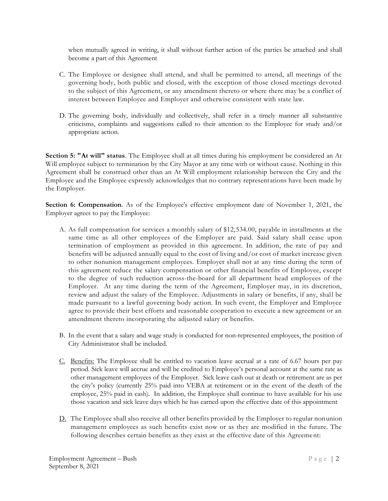when mutually agreed in writing, it shall without further action of the parties be attached and shall become a part of this Agreement

- C. The Employee or designee shall attend, and shall be permitted to attend, all meetings of the governing body, both public and closed, with the exception of those closed meetings devoted to the subject of this Agreement, or any amendment thereto or where there may be a conflict of interest between Employee and Employer and otherwise consistent with state law.
- D. The governing body, individually and collectively, shall refer in a timely manner all substantive criticisms, complaints and suggestions called to their attention to the Employee for study and/or appropriate action.

**Section 5: "At will" status**. The Employee shall at all times during his employment be considered an At Will employee subject to termination by the City Mayor at any time with or without cause. Nothing in this Agreement shall be construed other than an At Will employment relationship between the City and the Employee and the Employee expressly acknowledges that no contrary representations have been made by the Employer.

**Section 6: Compensation**. As of the Employee's effective employment date of November 1, 2021, the Employer agrees to pay the Employee:

- A. As full compensation for services a monthly salary of \$12,534.00, payable in installments at the same time as all other employees of the Employer are paid. Said salary shall cease upon termination of employment as provided in this agreement. In addition, the rate of pay and benefits will be adjusted annually equal to the cost of living and/or cost of market increase given to other nonunion management employees. Employer shall not at any time during the term of this agreement reduce the salary compensation or other financial benefits of Employee, except to the degree of such reduction across-the-board for all department head employees of the Employer. At any time during the term of the Agreement, Employer may, in its discretion, review and adjust the salary of the Employee. Adjustments in salary or benefits, if any, shal l be made pursuant to a lawful governing body action. In such event, the Employer and Employee agree to provide their best efforts and reasonable cooperation to execute a new agreement or an amendment thereto incorporating the adjusted salary or benefits.
- B. In the event that a salary and wage study is conducted for non-represented employees, the position of City Administrator shall be included.
- C. Benefits: The Employee shall be entitled to vacation leave accrual at a rate of 6.67 hours per pay period. Sick leave will accrue and will be credited to Employee's personal account at the same rate as other management employees of the Employer. Sick leave cash out at death or retirement are as per the city's policy (currently 25% paid into VEBA at retirement or in the event of the death of the employee, 25% paid in cash). In addition, the Employee shall continue to have available for his use those vacation and sick leave days which he has earned upon the effective date of this appointment
- D. The Employee shall also receive all other benefits provided by the Employer to regular nonunion management employees as such benefits exist now or as they are modified in the future. The following describes certain benefits as they exist at the effective date of this Agreement: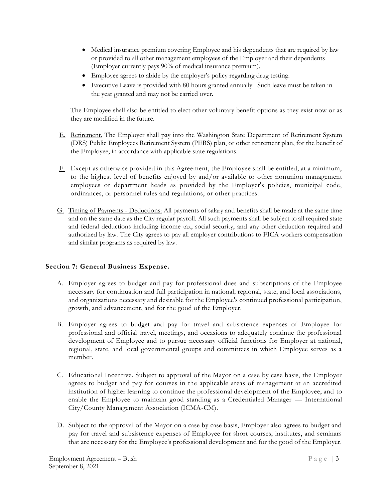- Medical insurance premium covering Employee and his dependents that are required by law or provided to all other management employees of the Employer and their dependents (Employer currently pays 90% of medical insurance premium).
- Employee agrees to abide by the employer's policy regarding drug testing.
- Executive Leave is provided with 80 hours granted annually. Such leave must be taken in the year granted and may not be carried over.

The Employee shall also be entitled to elect other voluntary benefit options as they exist now or as they are modified in the future.

- E. Retirement. The Employer shall pay into the Washington State Department of Retirement System (DRS) Public Employees Retirement System (PERS) plan, or other retirement plan, for the benefit of the Employee, in accordance with applicable state regulations.
- F. Except as otherwise provided in this Agreement, the Employee shall be entitled, at a minimum, to the highest level of benefits enjoyed by and/or available to other nonunion management employees or department heads as provided by the Employer's policies, municipal code, ordinances, or personnel rules and regulations, or other practices.
- G. Timing of Payments Deductions: All payments of salary and benefits shall be made at the same time and on the same date as the City regular payroll. All such payments shall be subject to all required state and federal deductions including income tax, social security, and any other deduction required and authorized by law. The City agrees to pay all employer contributions to FICA workers compensation and similar programs as required by law.

# **Section 7: General Business Expense.**

- A. Employer agrees to budget and pay for professional dues and subscriptions of the Employee necessary for continuation and full participation in national, regional, state, and local associations, and organizations necessary and desirable for the Employee's continued professional participation, growth, and advancement, and for the good of the Employer.
- B. Employer agrees to budget and pay for travel and subsistence expenses of Employee for professional and official travel, meetings, and occasions to adequately continue the professional development of Employee and to pursue necessary official functions for Employer at national, regional, state, and local governmental groups and committees in which Employee serves as a member.
- C. Educational Incentive. Subject to approval of the Mayor on a case by case basis, the Employer agrees to budget and pay for courses in the applicable areas of management at an accredited institution of higher learning to continue the professional development of the Employee, and to enable the Employee to maintain good standing as a Credentialed Manager — International City/County Management Association (ICMA-CM).
- D. Subject to the approval of the Mayor on a case by case basis, Employer also agrees to budget and pay for travel and subsistence expenses of Employee for short courses, institutes, and seminars that are necessary for the Employee's professional development and for the good of the Employer.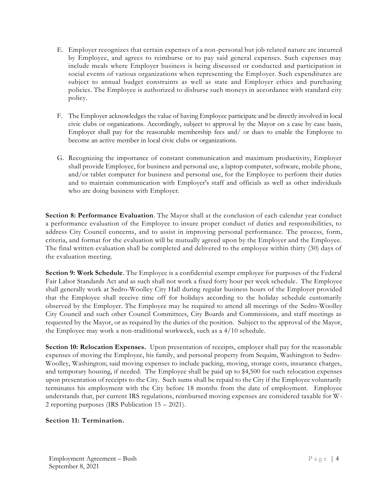- E. Employer recognizes that certain expenses of a non-personal but job related nature are incurred by Employee, and agrees to reimburse or to pay said general expenses. Such expenses may include meals where Employer business is being discussed or conducted and participation in social events of various organizations when representing the Employer. Such expenditures are subject to annual budget constraints as well as state and Employer ethics and purchasing policies. The Employee is authorized to disburse such moneys in accordance with standard city policy.
- F. The Employer acknowledges the value of having Employee participate and be directly involved in local civic clubs or organizations. Accordingly, subject to approval by the Mayor on a case by case basis, Employer shall pay for the reasonable membership fees and/ or dues to enable the Employee to become an active member in local civic clubs or organizations.
- G. Recognizing the importance of constant communication and maximum productivity, Employer shall provide Employee, for business and personal use, a laptop computer, software, mobile phone, and/or tablet computer for business and personal use, for the Employee to perform their duties and to maintain communication with Employer's staff and officials as well as other individuals who are doing business with Employer.

**Section 8: Performance Evaluation**. The Mayor shall at the conclusion of each calendar year conduct a performance evaluation of the Employee to insure proper conduct of duties and responsibilities, to address City Council concerns, and to assist in improving personal performance. The process, form, criteria, and format for the evaluation will be mutually agreed upon by the Employer and the Employee. The final written evaluation shall be completed and delivered to the employee within thirty (30) days of the evaluation meeting.

**Section 9: Work Schedule**. The Employee is a confidential exempt employee for purposes of the Federal Fair Labor Standards Act and as such shall not work a fixed forty hour per week schedule. The Employee shall generally work at Sedro-Woolley City Hall during regular business hours of the Employer provided that the Employee shall receive time off for holidays according to the holiday schedule customarily observed by the Employer. The Employee may be required to attend all meetings of the Sedro-Woolley City Council and such other Council Committees, City Boards and Commissions, and staff meetings as requested by the Mayor, or as required by the duties of the position. Subject to the approval of the Mayor, the Employee may work a non-traditional workweek, such as a 4/10 schedule.

**Section 10: Relocation Expenses.** Upon presentation of receipts, employer shall pay for the reasonable expenses of moving the Employee, his family, and personal property from Sequim, Washington to Sedro-Woolley, Washington; said moving expenses to include packing, moving, storage costs, insurance charges, and temporary housing, if needed. The Employee shall be paid up to \$4,500 for such relocation expenses upon presentation of receipts to the City. Such sums shall be repaid to the City if the Employee voluntarily terminates his employment with the City before 18 months from the date of employment. Employee understands that, per current IRS regulations, reimbursed moving expenses are considered taxable for W-2 reporting purposes (IRS Publication 15 – 2021).

# **Section 11: Termination.**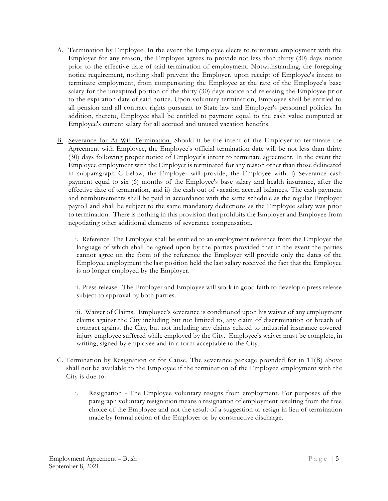- A. Termination by Employee. In the event the Employee elects to terminate employment with the Employer for any reason, the Employee agrees to provide not less than thirty (30) days notice prior to the effective date of said termination of employment. Notwithstanding, the foregoing notice requirement, nothing shall prevent the Employer, upon receipt of Employee's intent to terminate employment, from compensating the Employee at the rate of the Employee's base salary for the unexpired portion of the thirty (30) days notice and releasing the Employee prior to the expiration date of said notice. Upon voluntary termination, Employee shall be entitled to all pension and all contract rights pursuant to State law and Employer's personnel policies. In addition, thereto, Employee shall be entitled to payment equal to the cash value computed at Employee's current salary for all accrued and unused vacation benefits.
- B. Severance for At Will Termination. Should it be the intent of the Employer to terminate the Agreement with Employee, the Employee's official termination date will be not less than thirty (30) days following proper notice of Employer's intent to terminate agreement. In the event the Employee employment with the Employer is terminated for any reason other than those delineated in subparagraph C below, the Employer will provide, the Employee with: i) Severance cash payment equal to six (6) months of the Employee's base salary and health insurance, after the effective date of termination, and ii) the cash out of vacation accrual balances. The cash payment and reimbursements shall be paid in accordance with the same schedule as the regular Employer payroll and shall be subject to the same mandatory deductions as the Employee salary was prior to termination. There is nothing in this provision that prohibits the Employer and Employee from negotiating other additional elements of severance compensation.

i. Reference. The Employee shall be entitled to an employment reference from the Employer the language of which shall be agreed upon by the parties provided that in the event the parties cannot agree on the form of the reference the Employer will provide only the dates of the Employee employment the last position held the last salary received the fact that the Employee is no longer employed by the Employer.

ii. Press release. The Employer and Employee will work in good faith to develop a press release subject to approval by both parties.

iii. Waiver of Claims. Employee's severance is conditioned upon his waiver of any employment claims against the City including but not limited to, any claim of discrimination or breach of contract against the City, but not including any claims related to industrial insurance covered injury employee suffered while employed by the City. Employee's waiver must be complete, in writing, signed by employee and in a form acceptable to the City.

- C. Termination by Resignation or for Cause. The severance package provided for in 11(B) above shall not be available to the Employee if the termination of the Employee employment with the City is due to:
	- i. Resignation The Employee voluntary resigns from employment. For purposes of this paragraph voluntary resignation means a resignation of employment resulting from the free choice of the Employee and not the result of a suggestion to resign in lieu of termination made by formal action of the Employer or by constructive discharge.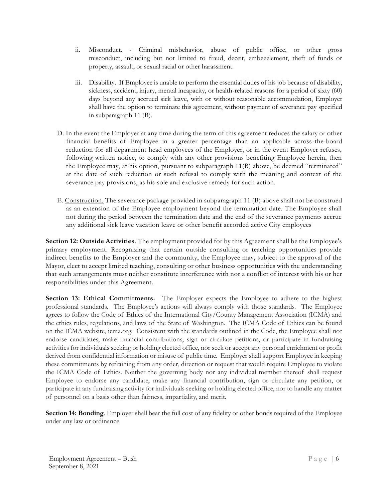- ii. Misconduct. Criminal misbehavior, abuse of public office, or other gross misconduct, including but not limited to fraud, deceit, embezzlement, theft of funds or property, assault, or sexual racial or other harassment.
- iii. Disability. If Employee is unable to perform the essential duties of his job because of disability, sickness, accident, injury, mental incapacity, or health-related reasons for a period of sixty (60) days beyond any accrued sick leave, with or without reasonable accommodation, Employer shall have the option to terminate this agreement, without payment of severance pay specified in subparagraph 11 (B).
- D. In the event the Employer at any time during the term of this agreement reduces the salary or other financial benefits of Employee in a greater percentage than an applicable across-the-board reduction for all department head employees of the Employer, or in the event Employer refuses, following written notice, to comply with any other provisions benefiting Employee herein, then the Employee may, at his option, pursuant to subparagraph 11(B) above, be deemed "terminated" at the date of such reduction or such refusal to comply with the meaning and context of the severance pay provisions, as his sole and exclusive remedy for such action.
- E. Construction. The severance package provided in subparagraph 11 (B) above shall not be construed as an extension of the Employee employment beyond the termination date. The Employee shall not during the period between the termination date and the end of the severance payments accrue any additional sick leave vacation leave or other benefit accorded active City employees

**Section 12: Outside Activities**. The employment provided for by this Agreement shall be the Employee's primary employment. Recognizing that certain outside consulting or teaching opportunities provide indirect benefits to the Employer and the community, the Employee may, subject to the approval of the Mayor, elect to accept limited teaching, consulting or other business opportunities with the understanding that such arrangements must neither constitute interference with nor a conflict of interest with his or her responsibilities under this Agreement.

**Section 13: Ethical Commitments.** The Employer expects the Employee to adhere to the highest professional standards. The Employee's actions will always comply with those standards. The Employee agrees to follow the Code of Ethics of the International City/County Management Association (ICMA) and the ethics rules, regulations, and laws of the State of Washington. The ICMA Code of Ethics can be found on the ICMA website, icma.org. Consistent with the standards outlined in the Code, the Employee shall not endorse candidates, make financial contributions, sign or circulate petitions, or participate in fundraising activities for individuals seeking or holding elected office, nor seek or accept any personal enrichment or profit derived from confidential information or misuse of public time. Employer shall support Employee in keeping these commitments by refraining from any order, direction or request that would require Employee to violate the ICMA Code of Ethics. Neither the governing body nor any individual member thereof shall request Employee to endorse any candidate, make any financial contribution, sign or circulate any petition, or participate in any fundraising activity for individuals seeking or holding elected office, nor to handle any matter of personnel on a basis other than fairness, impartiality, and merit.

**Section 14: Bonding**. Employer shall bear the full cost of any fidelity or other bonds required of the Employee under any law or ordinance.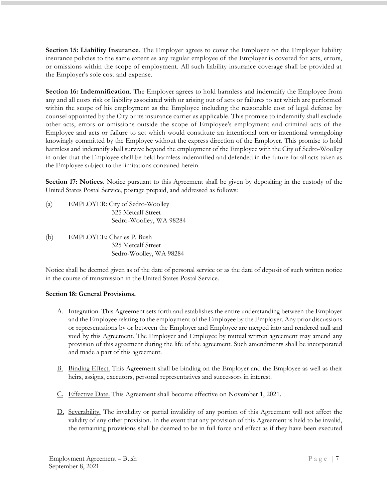**Section 15: Liability Insurance**. The Employer agrees to cover the Employee on the Employer liability insurance policies to the same extent as any regular employee of the Employer is covered for acts, errors, or omissions within the scope of employment. All such liability insurance coverage shall be provided at the Employer's sole cost and expense.

**Section 16: Indemnification**. The Employer agrees to hold harmless and indemnify the Employee from any and all costs risk or liability associated with or arising out of acts or failures to act which are performed within the scope of his employment as the Employee including the reasonable cost of legal defense by counsel appointed by the City or its insurance carrier as applicable. This promise to indemnify shall exclude other acts, errors or omissions outside the scope of Employee's employment and criminal acts of the Employee and acts or failure to act which would constitute an intentional tort or intentional wrongdoing knowingly committed by the Employee without the express direction of the Employer. This promise to hold harmless and indemnify shall survive beyond the employment of the Employee with the City of Sedro-Woolley in order that the Employee shall be held harmless indemnified and defended in the future for all acts taken as the Employee subject to the limitations contained herein.

**Section 17: Notices.** Notice pursuant to this Agreement shall be given by depositing in the custody of the United States Postal Service, postage prepaid, and addressed as follows:

- (a) EMPLOYER: City of Sedro-Woolley 325 Metcalf Street Sedro-Woolley, WA 98284
- (b) EMPLOYEE: Charles P. Bush 325 Metcalf Street Sedro-Woolley, WA 98284

Notice shall be deemed given as of the date of personal service or as the date of deposit of such written notice in the course of transmission in the United States Postal Service.

### **Section 18: General Provisions.**

- A. Integration. This Agreement sets forth and establishes the entire understanding between the Employer and the Employee relating to the employment of the Employee by the Employer. Any prior discussions or representations by or between the Employer and Employee are merged into and rendered null and void by this Agreement. The Employer and Employee by mutual written agreement may amend any provision of this agreement during the life of the agreement. Such amendments shall be incorporated and made a part of this agreement.
- B. Binding Effect. This Agreement shall be binding on the Employer and the Employee as well as their heirs, assigns, executors, personal representatives and successors in interest.
- C. Effective Date. This Agreement shall become effective on November 1, 2021.
- D. Severability. The invalidity or partial invalidity of any portion of this Agreement will not affect the validity of any other provision. In the event that any provision of this Agreement is held to be invalid, the remaining provisions shall be deemed to be in full force and effect as if they have been executed